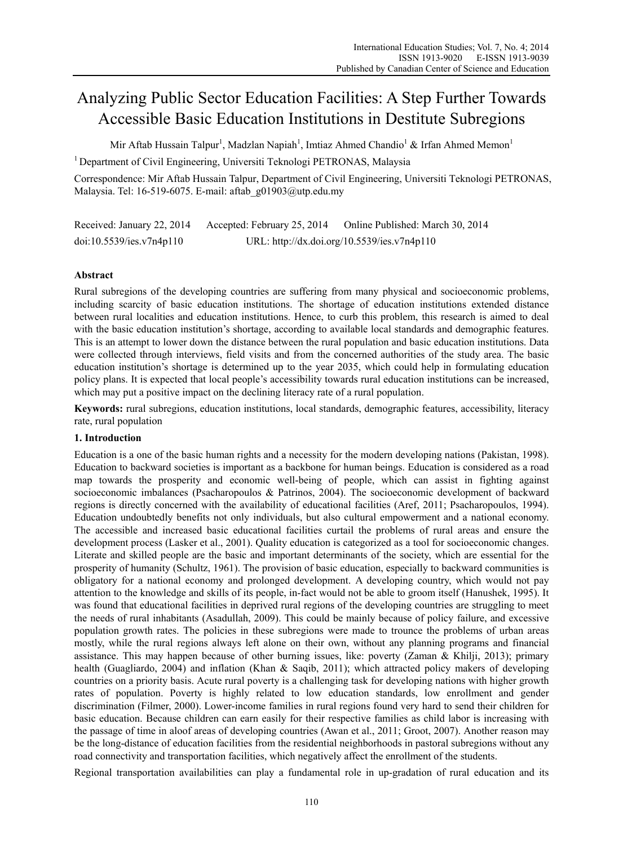# Analyzing Public Sector Education Facilities: A Step Further Towards Accessible Basic Education Institutions in Destitute Subregions

Mir Aftab Hussain Talpur<sup>1</sup>, Madzlan Napiah<sup>1</sup>, Imtiaz Ahmed Chandio<sup>1</sup> & Irfan Ahmed Memon<sup>1</sup>

<sup>1</sup> Department of Civil Engineering, Universiti Teknologi PETRONAS, Malaysia

Correspondence: Mir Aftab Hussain Talpur, Department of Civil Engineering, Universiti Teknologi PETRONAS, Malaysia. Tel: 16-519-6075. E-mail: aftab\_g01903@utp.edu.my

Received: January 22, 2014 Accepted: February 25, 2014 Online Published: March 30, 2014 doi:10.5539/ies.v7n4p110 URL: http://dx.doi.org/10.5539/ies.v7n4p110

# **Abstract**

Rural subregions of the developing countries are suffering from many physical and socioeconomic problems, including scarcity of basic education institutions. The shortage of education institutions extended distance between rural localities and education institutions. Hence, to curb this problem, this research is aimed to deal with the basic education institution's shortage, according to available local standards and demographic features. This is an attempt to lower down the distance between the rural population and basic education institutions. Data were collected through interviews, field visits and from the concerned authorities of the study area. The basic education institution's shortage is determined up to the year 2035, which could help in formulating education policy plans. It is expected that local people's accessibility towards rural education institutions can be increased, which may put a positive impact on the declining literacy rate of a rural population.

**Keywords:** rural subregions, education institutions, local standards, demographic features, accessibility, literacy rate, rural population

## **1. Introduction**

Education is a one of the basic human rights and a necessity for the modern developing nations (Pakistan, 1998). Education to backward societies is important as a backbone for human beings. Education is considered as a road map towards the prosperity and economic well-being of people, which can assist in fighting against socioeconomic imbalances (Psacharopoulos & Patrinos, 2004). The socioeconomic development of backward regions is directly concerned with the availability of educational facilities (Aref, 2011; Psacharopoulos, 1994). Education undoubtedly benefits not only individuals, but also cultural empowerment and a national economy. The accessible and increased basic educational facilities curtail the problems of rural areas and ensure the development process (Lasker et al., 2001). Quality education is categorized as a tool for socioeconomic changes. Literate and skilled people are the basic and important determinants of the society, which are essential for the prosperity of humanity (Schultz, 1961). The provision of basic education, especially to backward communities is obligatory for a national economy and prolonged development. A developing country, which would not pay attention to the knowledge and skills of its people, in-fact would not be able to groom itself (Hanushek, 1995). It was found that educational facilities in deprived rural regions of the developing countries are struggling to meet the needs of rural inhabitants (Asadullah, 2009). This could be mainly because of policy failure, and excessive population growth rates. The policies in these subregions were made to trounce the problems of urban areas mostly, while the rural regions always left alone on their own, without any planning programs and financial assistance. This may happen because of other burning issues, like: poverty (Zaman & Khilji, 2013); primary health (Guagliardo, 2004) and inflation (Khan & Saqib, 2011); which attracted policy makers of developing countries on a priority basis. Acute rural poverty is a challenging task for developing nations with higher growth rates of population. Poverty is highly related to low education standards, low enrollment and gender discrimination (Filmer, 2000). Lower-income families in rural regions found very hard to send their children for basic education. Because children can earn easily for their respective families as child labor is increasing with the passage of time in aloof areas of developing countries (Awan et al., 2011; Groot, 2007). Another reason may be the long-distance of education facilities from the residential neighborhoods in pastoral subregions without any road connectivity and transportation facilities, which negatively affect the enrollment of the students.

Regional transportation availabilities can play a fundamental role in up-gradation of rural education and its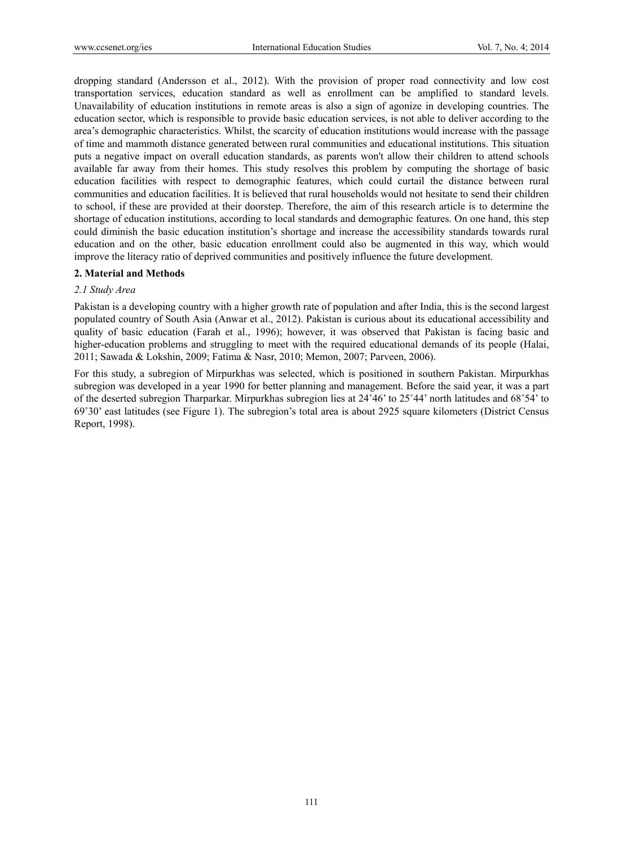dropping standard (Andersson et al., 2012). With the provision of proper road connectivity and low cost transportation services, education standard as well as enrollment can be amplified to standard levels. Unavailability of education institutions in remote areas is also a sign of agonize in developing countries. The education sector, which is responsible to provide basic education services, is not able to deliver according to the area's demographic characteristics. Whilst, the scarcity of education institutions would increase with the passage of time and mammoth distance generated between rural communities and educational institutions. This situation puts a negative impact on overall education standards, as parents won't allow their children to attend schools available far away from their homes. This study resolves this problem by computing the shortage of basic education facilities with respect to demographic features, which could curtail the distance between rural communities and education facilities. It is believed that rural households would not hesitate to send their children to school, if these are provided at their doorstep. Therefore, the aim of this research article is to determine the shortage of education institutions, according to local standards and demographic features. On one hand, this step could diminish the basic education institution's shortage and increase the accessibility standards towards rural education and on the other, basic education enrollment could also be augmented in this way, which would improve the literacy ratio of deprived communities and positively influence the future development.

#### **2. Material and Methods**

#### *2.1 Study Area*

Pakistan is a developing country with a higher growth rate of population and after India, this is the second largest populated country of South Asia (Anwar et al., 2012). Pakistan is curious about its educational accessibility and quality of basic education (Farah et al., 1996); however, it was observed that Pakistan is facing basic and higher-education problems and struggling to meet with the required educational demands of its people (Halai, 2011; Sawada & Lokshin, 2009; Fatima & Nasr, 2010; Memon, 2007; Parveen, 2006).

For this study, a subregion of Mirpurkhas was selected, which is positioned in southern Pakistan. Mirpurkhas subregion was developed in a year 1990 for better planning and management. Before the said year, it was a part of the deserted subregion Tharparkar. Mirpurkhas subregion lies at 24˚46' to 25˚44' north latitudes and 68˚54' to 69˚30' east latitudes (see Figure 1). The subregion's total area is about 2925 square kilometers (District Census Report, 1998).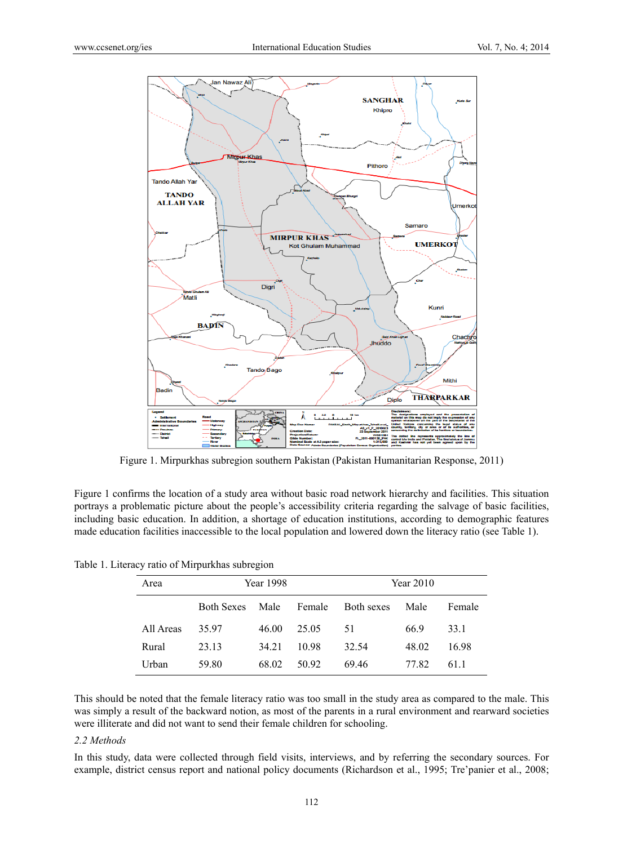

Figure 1. Mirpurkhas subregion southern Pakistan (Pakistan Humanitarian Response, 2011)

Figure 1 confirms the location of a study area without basic road network hierarchy and facilities. This situation portrays a problematic picture about the people's accessibility criteria regarding the salvage of basic facilities, including basic education. In addition, a shortage of education institutions, according to demographic features made education facilities inaccessible to the local population and lowered down the literacy ratio (see Table 1).

|  |  |  | Table 1. Literacy ratio of Mirpurkhas subregion |
|--|--|--|-------------------------------------------------|
|  |  |  |                                                 |

| Area      | Year 1998         |       |        | Year 2010         |       |        |
|-----------|-------------------|-------|--------|-------------------|-------|--------|
|           | <b>Both Sexes</b> | Male  | Female | <b>Both sexes</b> | Male  | Female |
| All Areas | 35.97             | 46.00 | 25.05  | 51                | 66.9  | 33.1   |
| Rural     | 23.13             | 34 21 | 10.98  | 32.54             | 48.02 | 16.98  |
| Urban     | 59.80             | 68.02 | 50.92  | 69.46             | 77.82 | 611    |

This should be noted that the female literacy ratio was too small in the study area as compared to the male. This was simply a result of the backward notion, as most of the parents in a rural environment and rearward societies were illiterate and did not want to send their female children for schooling.

#### *2.2 Methods*

In this study, data were collected through field visits, interviews, and by referring the secondary sources. For example, district census report and national policy documents (Richardson et al., 1995; Tre'panier et al., 2008;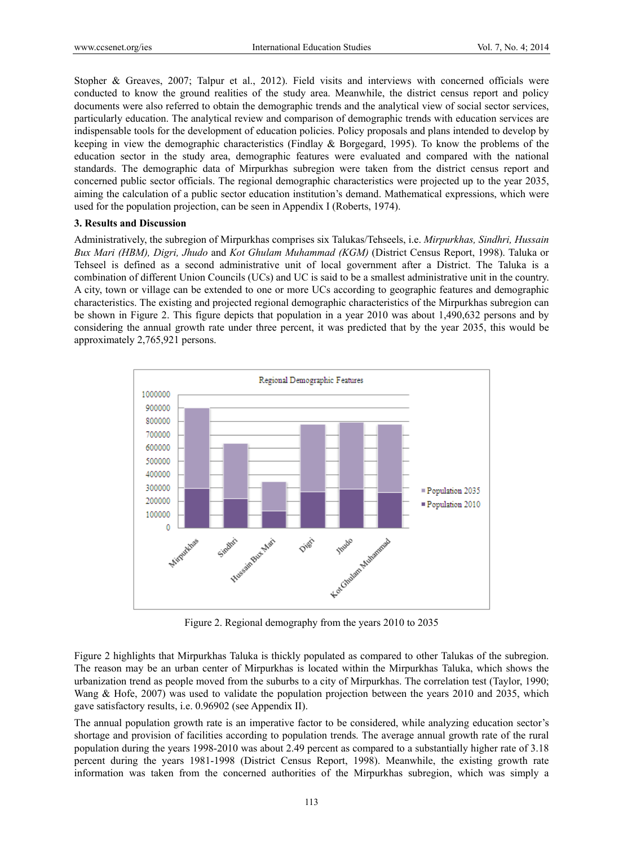Stopher & Greaves, 2007; Talpur et al., 2012). Field visits and interviews with concerned officials were conducted to know the ground realities of the study area. Meanwhile, the district census report and policy documents were also referred to obtain the demographic trends and the analytical view of social sector services, particularly education. The analytical review and comparison of demographic trends with education services are indispensable tools for the development of education policies. Policy proposals and plans intended to develop by keeping in view the demographic characteristics (Findlay & Borgegard, 1995). To know the problems of the education sector in the study area, demographic features were evaluated and compared with the national standards. The demographic data of Mirpurkhas subregion were taken from the district census report and concerned public sector officials. The regional demographic characteristics were projected up to the year 2035, aiming the calculation of a public sector education institution's demand. Mathematical expressions, which were used for the population projection, can be seen in Appendix I (Roberts, 1974).

#### **3. Results and Discussion**

Administratively, the subregion of Mirpurkhas comprises six Talukas/Tehseels, i.e. *Mirpurkhas, Sindhri, Hussain Bux Mari (HBM), Digri, Jhudo* and *Kot Ghulam Muhammad (KGM)* (District Census Report, 1998). Taluka or Tehseel is defined as a second administrative unit of local government after a District. The Taluka is a combination of different Union Councils (UCs) and UC is said to be a smallest administrative unit in the country. A city, town or village can be extended to one or more UCs according to geographic features and demographic characteristics. The existing and projected regional demographic characteristics of the Mirpurkhas subregion can be shown in Figure 2. This figure depicts that population in a year 2010 was about 1,490,632 persons and by considering the annual growth rate under three percent, it was predicted that by the year 2035, this would be approximately 2,765,921 persons.



Figure 2. Regional demography from the years 2010 to 2035

Figure 2 highlights that Mirpurkhas Taluka is thickly populated as compared to other Talukas of the subregion. The reason may be an urban center of Mirpurkhas is located within the Mirpurkhas Taluka, which shows the urbanization trend as people moved from the suburbs to a city of Mirpurkhas. The correlation test (Taylor, 1990; Wang & Hofe, 2007) was used to validate the population projection between the years 2010 and 2035, which gave satisfactory results, i.e. 0.96902 (see Appendix II).

The annual population growth rate is an imperative factor to be considered, while analyzing education sector's shortage and provision of facilities according to population trends. The average annual growth rate of the rural population during the years 1998-2010 was about 2.49 percent as compared to a substantially higher rate of 3.18 percent during the years 1981-1998 (District Census Report, 1998). Meanwhile, the existing growth rate information was taken from the concerned authorities of the Mirpurkhas subregion, which was simply a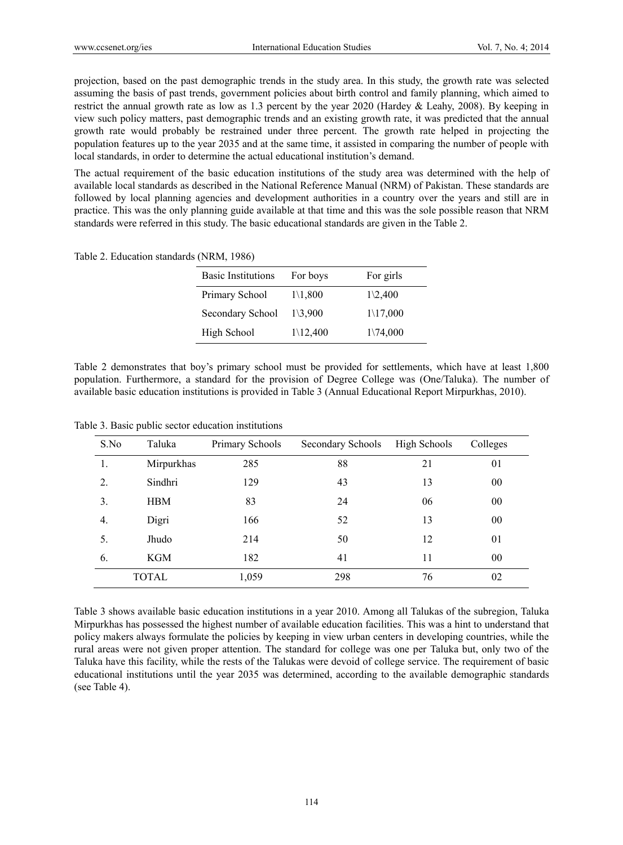projection, based on the past demographic trends in the study area. In this study, the growth rate was selected assuming the basis of past trends, government policies about birth control and family planning, which aimed to restrict the annual growth rate as low as 1.3 percent by the year 2020 (Hardey & Leahy, 2008). By keeping in view such policy matters, past demographic trends and an existing growth rate, it was predicted that the annual growth rate would probably be restrained under three percent. The growth rate helped in projecting the population features up to the year 2035 and at the same time, it assisted in comparing the number of people with local standards, in order to determine the actual educational institution's demand.

The actual requirement of the basic education institutions of the study area was determined with the help of available local standards as described in the National Reference Manual (NRM) of Pakistan. These standards are followed by local planning agencies and development authorities in a country over the years and still are in practice. This was the only planning guide available at that time and this was the sole possible reason that NRM standards were referred in this study. The basic educational standards are given in the Table 2.

Table 2. Education standards (NRM, 1986)

| <b>Basic Institutions</b> | For boys             | For girls            |
|---------------------------|----------------------|----------------------|
| Primary School            | $1\backslash1,800$   | $1\backslash 2,400$  |
| Secondary School          | $1\backslash3,900$   | $1\backslash 17,000$ |
| High School               | $1\backslash 12,400$ | $1\backslash 74,000$ |

Table 2 demonstrates that boy's primary school must be provided for settlements, which have at least 1,800 population. Furthermore, a standard for the provision of Degree College was (One/Taluka). The number of available basic education institutions is provided in Table 3 (Annual Educational Report Mirpurkhas, 2010).

| S.No | Taluka       | Primary Schools | Secondary Schools | High Schools | Colleges |
|------|--------------|-----------------|-------------------|--------------|----------|
| 1.   | Mirpurkhas   | 285             | 88                | 21           | 01       |
| 2.   | Sindhri      | 129             | 43                | 13           | 00       |
| 3.   | <b>HBM</b>   | 83              | 24                | 06           | 00       |
| 4.   | Digri        | 166             | 52                | 13           | 00       |
| 5.   | Jhudo        | 214             | 50                | 12           | 01       |
| 6.   | <b>KGM</b>   | 182             | 41                | 11           | 00       |
|      | <b>TOTAL</b> | 1,059           | 298               | 76           | 02       |

Table 3. Basic public sector education institutions

Table 3 shows available basic education institutions in a year 2010. Among all Talukas of the subregion, Taluka Mirpurkhas has possessed the highest number of available education facilities. This was a hint to understand that policy makers always formulate the policies by keeping in view urban centers in developing countries, while the rural areas were not given proper attention. The standard for college was one per Taluka but, only two of the Taluka have this facility, while the rests of the Talukas were devoid of college service. The requirement of basic educational institutions until the year 2035 was determined, according to the available demographic standards (see Table 4).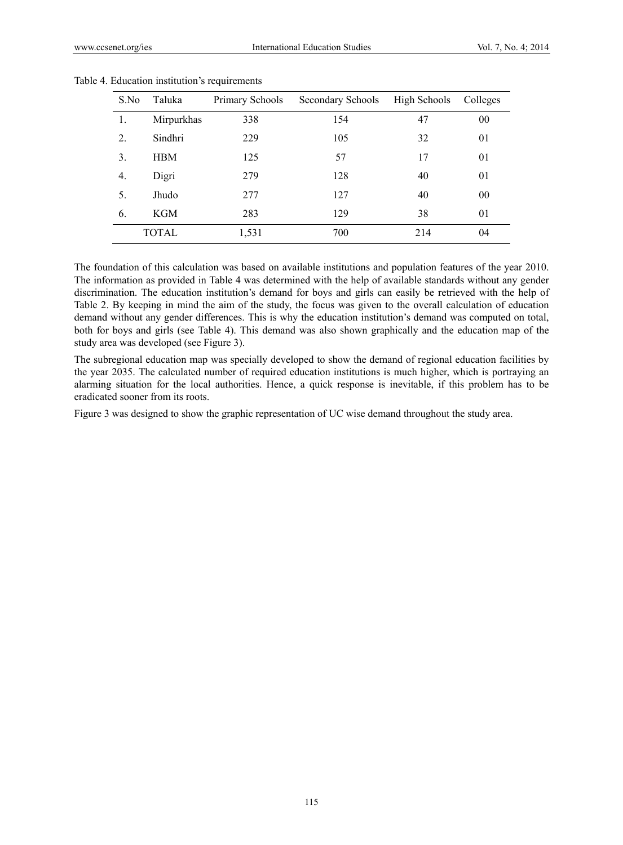| S.No | Taluka     | Primary Schools | Secondary Schools | High Schools | Colleges |
|------|------------|-----------------|-------------------|--------------|----------|
| 1.   | Mirpurkhas | 338             | 154               | 47           | 00       |
| 2.   | Sindhri    | 229             | 105               | 32           | 01       |
| 3.   | <b>HBM</b> | 125             | 57                | 17           | 01       |
| 4.   | Digri      | 279             | 128               | 40           | 01       |
| 5.   | Jhudo      | 277             | 127               | 40           | 00       |
| 6.   | KGM        | 283             | 129               | 38           | 01       |
|      | TOTAL      | 1,531           | 700               | 214          | 04       |

Table 4. Education institution's requirements

The foundation of this calculation was based on available institutions and population features of the year 2010. The information as provided in Table 4 was determined with the help of available standards without any gender discrimination. The education institution's demand for boys and girls can easily be retrieved with the help of Table 2. By keeping in mind the aim of the study, the focus was given to the overall calculation of education demand without any gender differences. This is why the education institution's demand was computed on total, both for boys and girls (see Table 4). This demand was also shown graphically and the education map of the study area was developed (see Figure 3).

The subregional education map was specially developed to show the demand of regional education facilities by the year 2035. The calculated number of required education institutions is much higher, which is portraying an alarming situation for the local authorities. Hence, a quick response is inevitable, if this problem has to be eradicated sooner from its roots.

Figure 3 was designed to show the graphic representation of UC wise demand throughout the study area.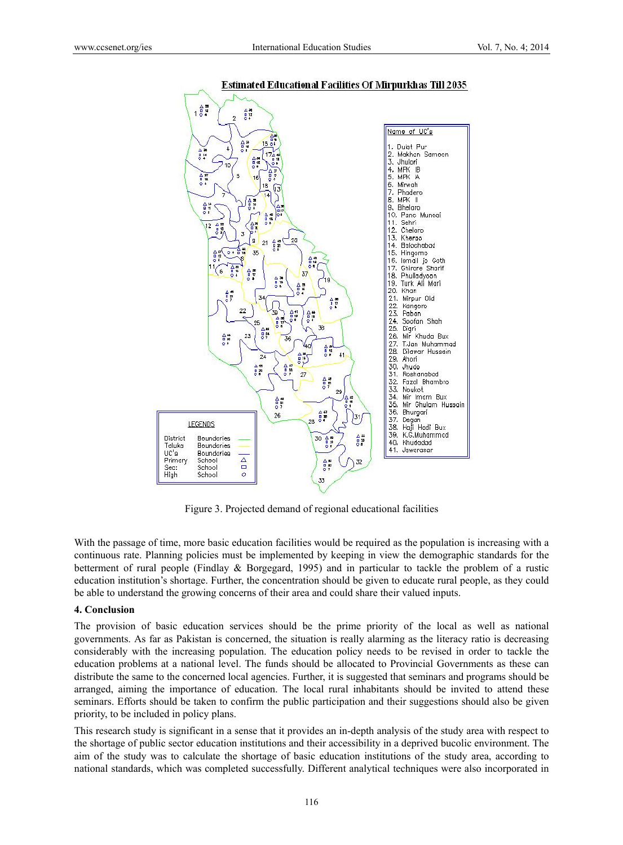

#### **Estimated Educational Facilities Of Mirpurkhas Till 2035**

Figure 3. Projected demand of regional educational facilities

With the passage of time, more basic education facilities would be required as the population is increasing with a continuous rate. Planning policies must be implemented by keeping in view the demographic standards for the betterment of rural people (Findlay & Borgegard, 1995) and in particular to tackle the problem of a rustic education institution's shortage. Further, the concentration should be given to educate rural people, as they could be able to understand the growing concerns of their area and could share their valued inputs.

#### **4. Conclusion**

The provision of basic education services should be the prime priority of the local as well as national governments. As far as Pakistan is concerned, the situation is really alarming as the literacy ratio is decreasing considerably with the increasing population. The education policy needs to be revised in order to tackle the education problems at a national level. The funds should be allocated to Provincial Governments as these can distribute the same to the concerned local agencies. Further, it is suggested that seminars and programs should be arranged, aiming the importance of education. The local rural inhabitants should be invited to attend these seminars. Efforts should be taken to confirm the public participation and their suggestions should also be given priority, to be included in policy plans.

This research study is significant in a sense that it provides an in-depth analysis of the study area with respect to the shortage of public sector education institutions and their accessibility in a deprived bucolic environment. The aim of the study was to calculate the shortage of basic education institutions of the study area, according to national standards, which was completed successfully. Different analytical techniques were also incorporated in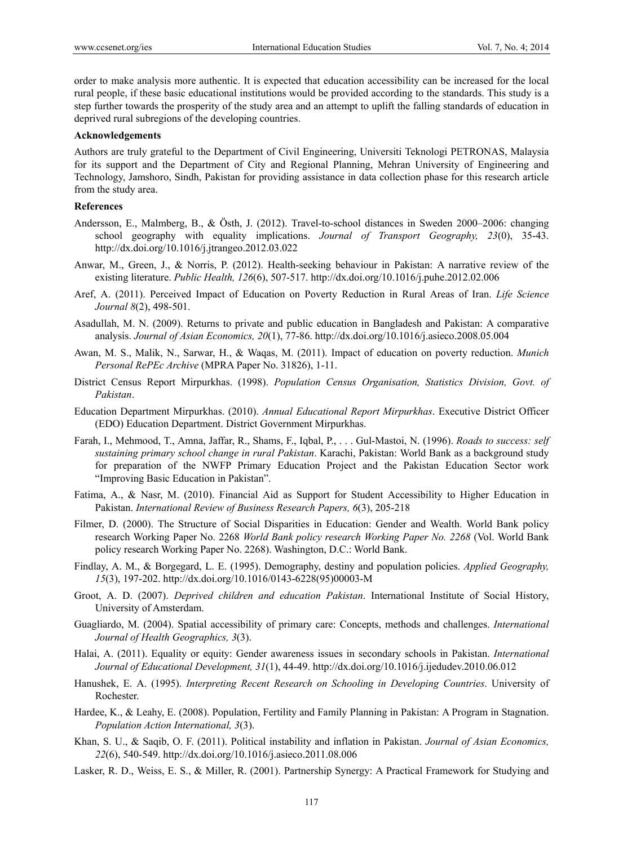order to make analysis more authentic. It is expected that education accessibility can be increased for the local rural people, if these basic educational institutions would be provided according to the standards. This study is a step further towards the prosperity of the study area and an attempt to uplift the falling standards of education in deprived rural subregions of the developing countries.

#### **Acknowledgements**

Authors are truly grateful to the Department of Civil Engineering, Universiti Teknologi PETRONAS, Malaysia for its support and the Department of City and Regional Planning, Mehran University of Engineering and Technology, Jamshoro, Sindh, Pakistan for providing assistance in data collection phase for this research article from the study area.

## **References**

- Andersson, E., Malmberg, B., & Östh, J. (2012). Travel-to-school distances in Sweden 2000–2006: changing school geography with equality implications. *Journal of Transport Geography, 23*(0), 35-43. http://dx.doi.org/10.1016/j.jtrangeo.2012.03.022
- Anwar, M., Green, J., & Norris, P. (2012). Health-seeking behaviour in Pakistan: A narrative review of the existing literature. *Public Health, 126*(6), 507-517. http://dx.doi.org/10.1016/j.puhe.2012.02.006
- Aref, A. (2011). Perceived Impact of Education on Poverty Reduction in Rural Areas of Iran. *Life Science Journal 8*(2), 498-501.
- Asadullah, M. N. (2009). Returns to private and public education in Bangladesh and Pakistan: A comparative analysis. *Journal of Asian Economics, 20*(1), 77-86. http://dx.doi.org/10.1016/j.asieco.2008.05.004
- Awan, M. S., Malik, N., Sarwar, H., & Waqas, M. (2011). Impact of education on poverty reduction. *Munich Personal RePEc Archive* (MPRA Paper No. 31826), 1-11.
- District Census Report Mirpurkhas. (1998). *Population Census Organisation, Statistics Division, Govt. of Pakistan*.
- Education Department Mirpurkhas. (2010). *Annual Educational Report Mirpurkhas*. Executive District Officer (EDO) Education Department. District Government Mirpurkhas.
- Farah, I., Mehmood, T., Amna, Jaffar, R., Shams, F., Iqbal, P., . . . Gul-Mastoi, N. (1996). *Roads to success: self sustaining primary school change in rural Pakistan*. Karachi, Pakistan: World Bank as a background study for preparation of the NWFP Primary Education Project and the Pakistan Education Sector work "Improving Basic Education in Pakistan".
- Fatima, A., & Nasr, M. (2010). Financial Aid as Support for Student Accessibility to Higher Education in Pakistan. *International Review of Business Research Papers, 6*(3), 205-218
- Filmer, D. (2000). The Structure of Social Disparities in Education: Gender and Wealth. World Bank policy research Working Paper No. 2268 *World Bank policy research Working Paper No. 2268* (Vol. World Bank policy research Working Paper No. 2268). Washington, D.C.: World Bank.
- Findlay, A. M., & Borgegard, L. E. (1995). Demography, destiny and population policies. *Applied Geography, 15*(3), 197-202. http://dx.doi.org/10.1016/0143-6228(95)00003-M
- Groot, A. D. (2007). *Deprived children and education Pakistan*. International Institute of Social History, University of Amsterdam.
- Guagliardo, M. (2004). Spatial accessibility of primary care: Concepts, methods and challenges. *International Journal of Health Geographics, 3*(3).
- Halai, A. (2011). Equality or equity: Gender awareness issues in secondary schools in Pakistan. *International Journal of Educational Development, 31*(1), 44-49. http://dx.doi.org/10.1016/j.ijedudev.2010.06.012
- Hanushek, E. A. (1995). *Interpreting Recent Research on Schooling in Developing Countries*. University of Rochester.
- Hardee, K., & Leahy, E. (2008). Population, Fertility and Family Planning in Pakistan: A Program in Stagnation. *Population Action International, 3*(3).
- Khan, S. U., & Saqib, O. F. (2011). Political instability and inflation in Pakistan. *Journal of Asian Economics, 22*(6), 540-549. http://dx.doi.org/10.1016/j.asieco.2011.08.006
- Lasker, R. D., Weiss, E. S., & Miller, R. (2001). Partnership Synergy: A Practical Framework for Studying and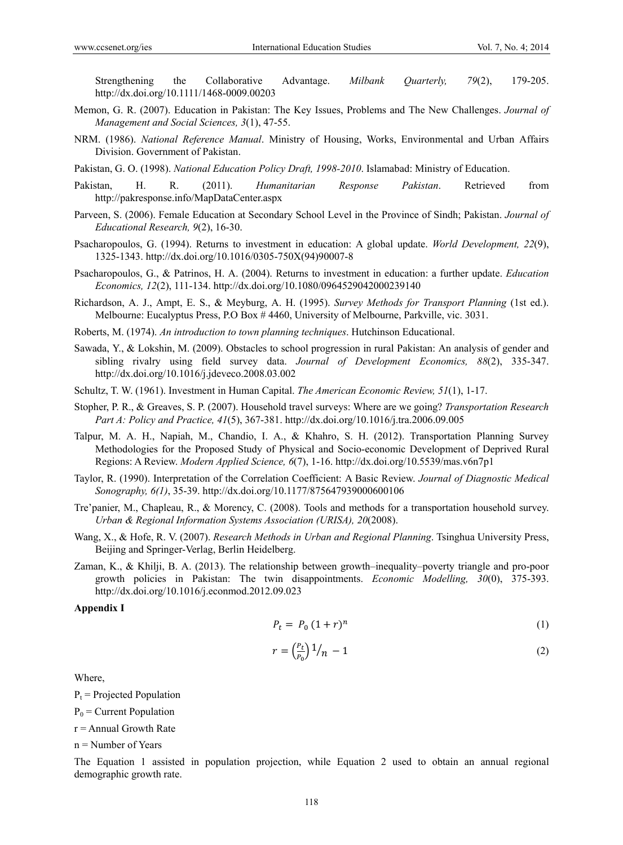Strengthening the Collaborative Advantage. *Milbank Quarterly, 79*(2), 179-205. http://dx.doi.org/10.1111/1468-0009.00203

- Memon, G. R. (2007). Education in Pakistan: The Key Issues, Problems and The New Challenges. *Journal of Management and Social Sciences, 3*(1), 47-55.
- NRM. (1986). *National Reference Manual*. Ministry of Housing, Works, Environmental and Urban Affairs Division. Government of Pakistan.
- Pakistan, G. O. (1998). *National Education Policy Draft, 1998-2010*. Islamabad: Ministry of Education.
- Pakistan, H. R. (2011). *Humanitarian Response Pakistan*. Retrieved from http://pakresponse.info/MapDataCenter.aspx
- Parveen, S. (2006). Female Education at Secondary School Level in the Province of Sindh; Pakistan. *Journal of Educational Research, 9*(2), 16-30.
- Psacharopoulos, G. (1994). Returns to investment in education: A global update. *World Development, 22*(9), 1325-1343. http://dx.doi.org/10.1016/0305-750X(94)90007-8
- Psacharopoulos, G., & Patrinos, H. A. (2004). Returns to investment in education: a further update. *Education Economics, 12*(2), 111-134. http://dx.doi.org/10.1080/0964529042000239140
- Richardson, A. J., Ampt, E. S., & Meyburg, A. H. (1995). *Survey Methods for Transport Planning* (1st ed.). Melbourne: Eucalyptus Press, P.O Box # 4460, University of Melbourne, Parkville, vic. 3031.
- Roberts, M. (1974). *An introduction to town planning techniques*. Hutchinson Educational.
- Sawada, Y., & Lokshin, M. (2009). Obstacles to school progression in rural Pakistan: An analysis of gender and sibling rivalry using field survey data. *Journal of Development Economics, 88*(2), 335-347. http://dx.doi.org/10.1016/j.jdeveco.2008.03.002
- Schultz, T. W. (1961). Investment in Human Capital. *The American Economic Review, 51*(1), 1-17.
- Stopher, P. R., & Greaves, S. P. (2007). Household travel surveys: Where are we going? *Transportation Research Part A: Policy and Practice, 41*(5), 367-381. http://dx.doi.org/10.1016/j.tra.2006.09.005
- Talpur, M. A. H., Napiah, M., Chandio, I. A., & Khahro, S. H. (2012). Transportation Planning Survey Methodologies for the Proposed Study of Physical and Socio-economic Development of Deprived Rural Regions: A Review. *Modern Applied Science, 6*(7), 1-16. http://dx.doi.org/10.5539/mas.v6n7p1
- Taylor, R. (1990). Interpretation of the Correlation Coefficient: A Basic Review. *Journal of Diagnostic Medical Sonography, 6(1)*, 35-39. http://dx.doi.org/10.1177/875647939000600106
- Tre'panier, M., Chapleau, R., & Morency, C. (2008). Tools and methods for a transportation household survey. *Urban & Regional Information Systems Association (URISA), 20*(2008).
- Wang, X., & Hofe, R. V. (2007). *Research Methods in Urban and Regional Planning*. Tsinghua University Press, Beijing and Springer-Verlag, Berlin Heidelberg.
- Zaman, K., & Khilji, B. A. (2013). The relationship between growth–inequality–poverty triangle and pro-poor growth policies in Pakistan: The twin disappointments. *Economic Modelling, 30*(0), 375-393. http://dx.doi.org/10.1016/j.econmod.2012.09.023

#### **Appendix I**

$$
P_t = P_0 (1+r)^n
$$
 (1)

$$
r = \left(\frac{P_t}{P_0}\right) \frac{1}{n} - 1\tag{2}
$$

Where,

 $P_t$  = Projected Population

 $P_0$  = Current Population

 $r =$  Annual Growth Rate

n = Number of Years

The Equation 1 assisted in population projection, while Equation 2 used to obtain an annual regional demographic growth rate.